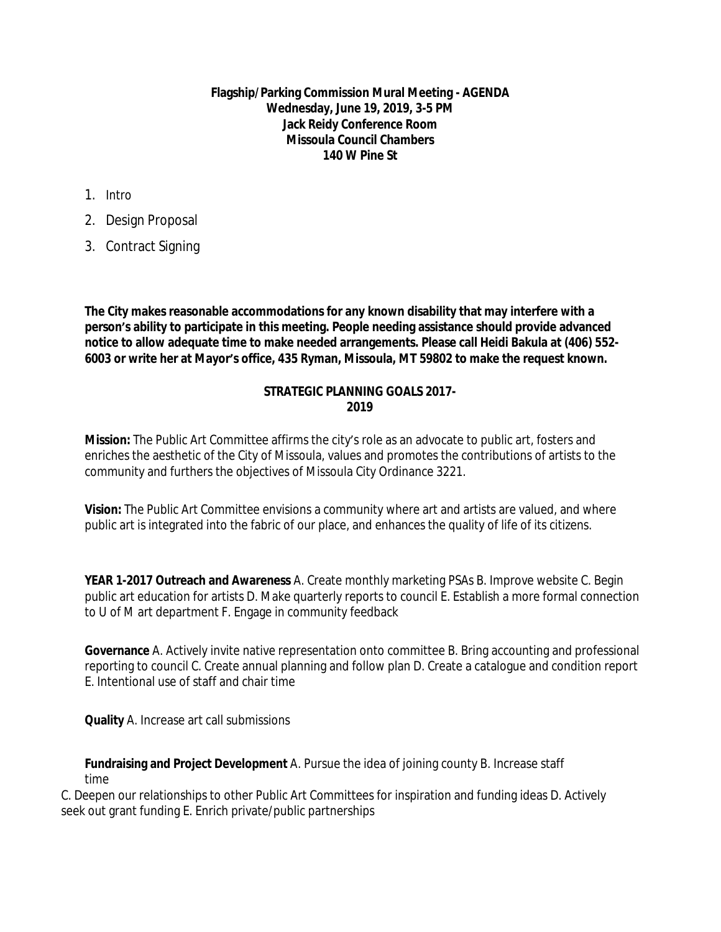**Flagship/Parking Commission Mural Meeting - AGENDA Wednesday, June 19, 2019, 3-5 PM Jack Reidy Conference Room Missoula Council Chambers 140 W Pine St**

- 1. Intro
- 2. Design Proposal
- 3. Contract Signing

**The City makes reasonable accommodations for any known disability that may interfere with a person's ability to participate in this meeting. People needing assistance should provide advanced notice to allow adequate time to make needed arrangements. Please call Heidi Bakula at (406) 552- 6003 or write her at Mayor's office, 435 Ryman, Missoula, MT 59802 to make the request known.** 

## **STRATEGIC PLANNING GOALS 2017- 2019**

**Mission:** The Public Art Committee affirms the city's role as an advocate to public art, fosters and enriches the aesthetic of the City of Missoula, values and promotes the contributions of artists to the community and furthers the objectives of Missoula City Ordinance 3221.

**Vision:** The Public Art Committee envisions a community where art and artists are valued, and where public art is integrated into the fabric of our place, and enhances the quality of life of its citizens.

**YEAR 1-2017 Outreach and Awareness** A. Create monthly marketing PSAs B. Improve website C. Begin public art education for artists D. Make quarterly reports to council E. Establish a more formal connection to U of M art department F. Engage in community feedback

**Governance** A. Actively invite native representation onto committee B. Bring accounting and professional reporting to council C. Create annual planning and follow plan D. Create a catalogue and condition report E. Intentional use of staff and chair time

**Quality** A. Increase art call submissions

**Fundraising and Project Development** A. Pursue the idea of joining county B. Increase staff time

C. Deepen our relationships to other Public Art Committees for inspiration and funding ideas D. Actively seek out grant funding E. Enrich private/public partnerships